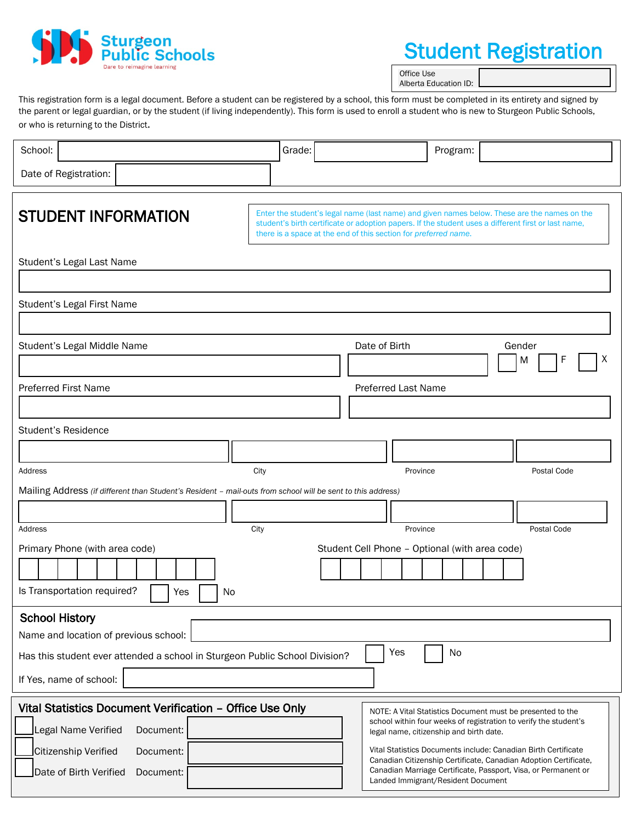

# Student Registration

Office Use Alberta Education ID:

This registration form is a legal document. Before a student can be registered by a school, this form must be completed in its entirety and signed by the parent or legal guardian, or by the student (if living independently). This form is used to enroll a student who is new to Sturgeon Public Schools, or who is returning to the District.

| School:                                                                                                                                                                               | Grade:                                                                                                                                                                 |                                                | Program:                                                                                                                                                                                                      |                                                                                                                                                                                                        |  |  |  |
|---------------------------------------------------------------------------------------------------------------------------------------------------------------------------------------|------------------------------------------------------------------------------------------------------------------------------------------------------------------------|------------------------------------------------|---------------------------------------------------------------------------------------------------------------------------------------------------------------------------------------------------------------|--------------------------------------------------------------------------------------------------------------------------------------------------------------------------------------------------------|--|--|--|
| Date of Registration:                                                                                                                                                                 |                                                                                                                                                                        |                                                |                                                                                                                                                                                                               |                                                                                                                                                                                                        |  |  |  |
| <b>STUDENT INFORMATION</b>                                                                                                                                                            | student's birth certificate or adoption papers. If the student uses a different first or last name,<br>there is a space at the end of this section for preferred name. |                                                |                                                                                                                                                                                                               | Enter the student's legal name (last name) and given names below. These are the names on the                                                                                                           |  |  |  |
| Student's Legal Last Name                                                                                                                                                             |                                                                                                                                                                        |                                                |                                                                                                                                                                                                               |                                                                                                                                                                                                        |  |  |  |
|                                                                                                                                                                                       |                                                                                                                                                                        |                                                |                                                                                                                                                                                                               |                                                                                                                                                                                                        |  |  |  |
| Student's Legal First Name                                                                                                                                                            |                                                                                                                                                                        |                                                |                                                                                                                                                                                                               |                                                                                                                                                                                                        |  |  |  |
| Student's Legal Middle Name                                                                                                                                                           |                                                                                                                                                                        | Date of Birth                                  |                                                                                                                                                                                                               | Gender<br>х<br>M                                                                                                                                                                                       |  |  |  |
| <b>Preferred First Name</b>                                                                                                                                                           |                                                                                                                                                                        | <b>Preferred Last Name</b>                     |                                                                                                                                                                                                               |                                                                                                                                                                                                        |  |  |  |
| <b>Student's Residence</b>                                                                                                                                                            |                                                                                                                                                                        |                                                |                                                                                                                                                                                                               |                                                                                                                                                                                                        |  |  |  |
|                                                                                                                                                                                       |                                                                                                                                                                        |                                                |                                                                                                                                                                                                               |                                                                                                                                                                                                        |  |  |  |
| City<br>Address                                                                                                                                                                       |                                                                                                                                                                        | Province                                       |                                                                                                                                                                                                               | Postal Code                                                                                                                                                                                            |  |  |  |
| Mailing Address (if different than Student's Resident - mail-outs from school will be sent to this address)                                                                           |                                                                                                                                                                        |                                                |                                                                                                                                                                                                               |                                                                                                                                                                                                        |  |  |  |
| City<br>Address                                                                                                                                                                       |                                                                                                                                                                        | Province                                       |                                                                                                                                                                                                               | Postal Code                                                                                                                                                                                            |  |  |  |
| Primary Phone (with area code)<br>Is Transportation required?<br>Yes<br>No                                                                                                            |                                                                                                                                                                        | Student Cell Phone - Optional (with area code) |                                                                                                                                                                                                               |                                                                                                                                                                                                        |  |  |  |
| <b>School History</b><br>Name and location of previous school:<br>Yes<br>No<br>Has this student ever attended a school in Sturgeon Public School Division?<br>If Yes, name of school: |                                                                                                                                                                        |                                                |                                                                                                                                                                                                               |                                                                                                                                                                                                        |  |  |  |
| Vital Statistics Document Verification - Office Use Only<br>Legal Name Verified<br>Document:<br>Citizenship Verified<br>Document:<br>Date of Birth Verified<br>Document:              |                                                                                                                                                                        |                                                | NOTE: A Vital Statistics Document must be presented to the<br>legal name, citizenship and birth date.<br>Vital Statistics Documents include: Canadian Birth Certificate<br>Landed Immigrant/Resident Document | school within four weeks of registration to verify the student's<br>Canadian Citizenship Certificate, Canadian Adoption Certificate,<br>Canadian Marriage Certificate, Passport, Visa, or Permanent or |  |  |  |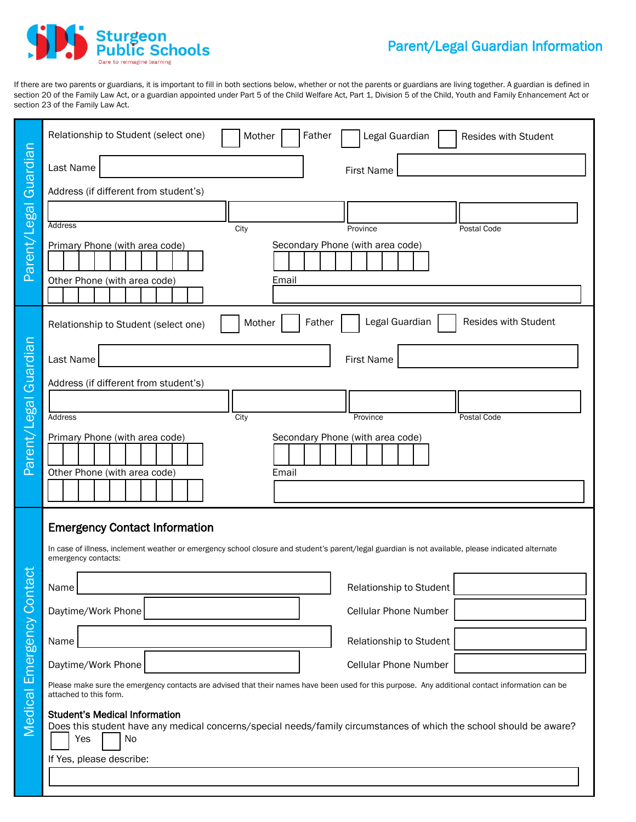

If there are two parents or guardians, it is important to fill in both sections below, whether or not the parents or guardians are living together. A guardian is defined in section 20 of the Family Law Act, or a guardian appointed under Part 5 of the Child Welfare Act, Part 1, Division 5 of the Child, Youth and Family Enhancement Act or section 23 of the Family Law Act.

|                        | Relationship to Student (select one)<br>Father<br>Legal Guardian<br>Mother<br>Resides with Student                                                                                                                |  |  |  |  |  |  |
|------------------------|-------------------------------------------------------------------------------------------------------------------------------------------------------------------------------------------------------------------|--|--|--|--|--|--|
| Guardian               | Last Name<br><b>First Name</b>                                                                                                                                                                                    |  |  |  |  |  |  |
|                        | Address (if different from student's)                                                                                                                                                                             |  |  |  |  |  |  |
|                        | Address<br>City<br>Province<br>Postal Code                                                                                                                                                                        |  |  |  |  |  |  |
| Parent/Legal           | Secondary Phone (with area code)<br>Primary Phone (with area code)<br>Other Phone (with area code)<br>Email                                                                                                       |  |  |  |  |  |  |
|                        | Legal Guardian<br>Resides with Student<br>Mother<br>Father<br>Relationship to Student (select one)                                                                                                                |  |  |  |  |  |  |
|                        | Last Name<br><b>First Name</b>                                                                                                                                                                                    |  |  |  |  |  |  |
|                        | Address (if different from student's)                                                                                                                                                                             |  |  |  |  |  |  |
|                        | City<br>Address<br>Province<br>Postal Code                                                                                                                                                                        |  |  |  |  |  |  |
| Parent/Legal Guardian  | Secondary Phone (with area code)<br>Primary Phone (with area code)<br>Other Phone (with area code)<br>Email                                                                                                       |  |  |  |  |  |  |
|                        |                                                                                                                                                                                                                   |  |  |  |  |  |  |
|                        | <b>Emergency Contact Information</b><br>In case of illness, inclement weather or emergency school closure and student's parent/legal guardian is not available, please indicated alternate<br>emergency contacts: |  |  |  |  |  |  |
| act                    | Name<br>Relationship to Student                                                                                                                                                                                   |  |  |  |  |  |  |
|                        | Daytime/Work Phone<br>Cellular Phone Number                                                                                                                                                                       |  |  |  |  |  |  |
|                        | Relationship to Student<br>Name                                                                                                                                                                                   |  |  |  |  |  |  |
|                        | Daytime/Work Phone<br>Cellular Phone Number                                                                                                                                                                       |  |  |  |  |  |  |
|                        | Please make sure the emergency contacts are advised that their names have been used for this purpose. Any additional contact information can be<br>attached to this form.                                         |  |  |  |  |  |  |
| Medical Emergency Cont | <b>Student's Medical Information</b><br>Does this student have any medical concerns/special needs/family circumstances of which the school should be aware?<br>Yes<br>No                                          |  |  |  |  |  |  |
|                        | If Yes, please describe:                                                                                                                                                                                          |  |  |  |  |  |  |
|                        |                                                                                                                                                                                                                   |  |  |  |  |  |  |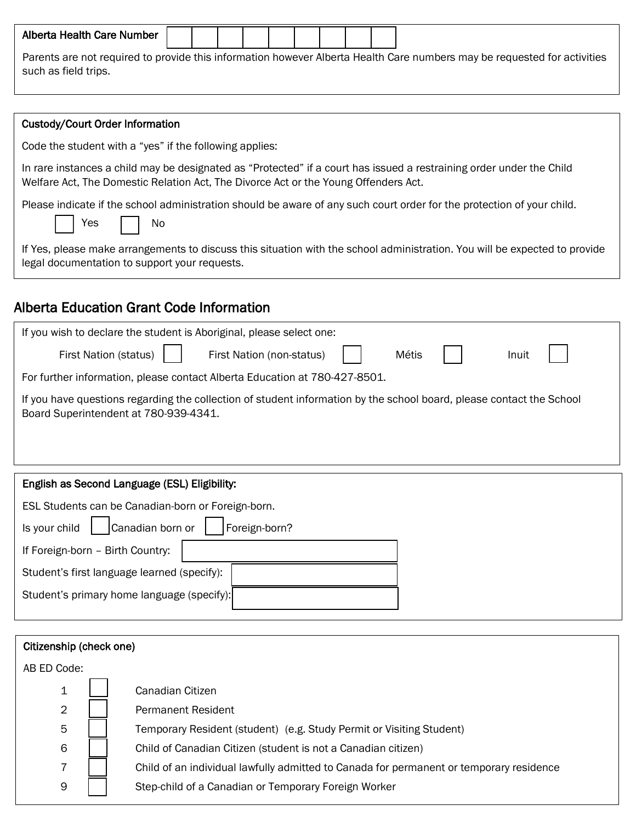| Alberta Health Care Number                                                                                               |  |  |  |  |  |  |  |  |  |  |
|--------------------------------------------------------------------------------------------------------------------------|--|--|--|--|--|--|--|--|--|--|
| Parents are not required to provide this information however Alberta Health Care numbers may be requested for activities |  |  |  |  |  |  |  |  |  |  |

| such as field trips. |  |
|----------------------|--|
|                      |  |

#### Custody/Court Order Information

Code the student with a "yes" if the following applies:

In rare instances a child may be designated as "Protected" if a court has issued a restraining order under the Child Welfare Act, The Domestic Relation Act, The Divorce Act or the Young Offenders Act.

Please indicate if the school administration should be aware of any such court order for the protection of your child.

Yes No

If Yes, please make arrangements to discuss this situation with the school administration. You will be expected to provide legal documentation to support your requests.

### Alberta Education Grant Code Information

| If you wish to declare the student is Aboriginal, please select one:                                                                                          |  |  |  |  |  |
|---------------------------------------------------------------------------------------------------------------------------------------------------------------|--|--|--|--|--|
| First Nation (status)<br>Métis<br>First Nation (non-status)<br>Inuit                                                                                          |  |  |  |  |  |
| For further information, please contact Alberta Education at 780-427-8501.                                                                                    |  |  |  |  |  |
| If you have questions regarding the collection of student information by the school board, please contact the School<br>Board Superintendent at 780-939-4341. |  |  |  |  |  |
|                                                                                                                                                               |  |  |  |  |  |
| English as Second Language (ESL) Eligibility:                                                                                                                 |  |  |  |  |  |
| ESL Students can be Canadian-born or Foreign-born.                                                                                                            |  |  |  |  |  |
| Canadian born or<br>Foreign-born?<br>Is your child                                                                                                            |  |  |  |  |  |
| If Foreign-born - Birth Country:                                                                                                                              |  |  |  |  |  |
| Student's first language learned (specify):                                                                                                                   |  |  |  |  |  |
| Student's primary home language (specify):                                                                                                                    |  |  |  |  |  |
|                                                                                                                                                               |  |  |  |  |  |
| Citizenship (check one)                                                                                                                                       |  |  |  |  |  |
| AB ED Code:                                                                                                                                                   |  |  |  |  |  |
| Canadian Citizen<br>1                                                                                                                                         |  |  |  |  |  |
| 2<br><b>Permanent Resident</b>                                                                                                                                |  |  |  |  |  |

| Temporary Resident (student) (e.g. Study Permit or Visiting Student) |  |  |
|----------------------------------------------------------------------|--|--|
|----------------------------------------------------------------------|--|--|

6 **Child of Canadian Citizen (student is not a Canadian citizen)** 

7 | | Child of an individual lawfully admitted to Canada for permanent or temporary residence

9 | | Step-child of a Canadian or Temporary Foreign Worker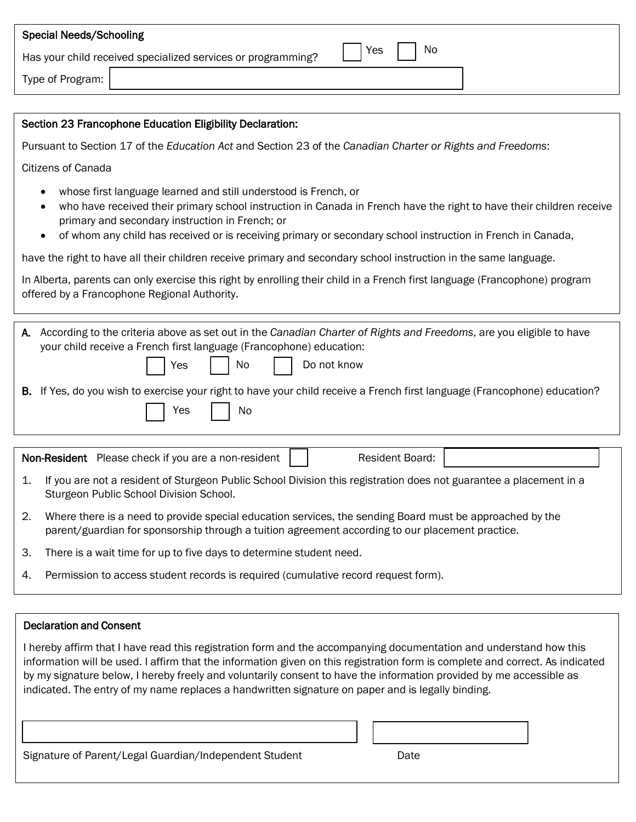| <b>Special Needs/Schooling</b> |                                                              |     |                             |
|--------------------------------|--------------------------------------------------------------|-----|-----------------------------|
|                                | Has your child received specialized services or programming? | Yes | $\overline{\phantom{a}}$ No |
| Type of Program:               |                                                              |     |                             |
|                                |                                                              |     |                             |

### Section 23 Francophone Education Eligibility Declaration:

Pursuant to Section 17 of the *Education Act* and Section 23 of the *Canadian Charter or Rights and Freedoms*:

Citizens of Canada

- whose first language learned and still understood is French, or
- who have received their primary school instruction in Canada in French have the right to have their children receive primary and secondary instruction in French; or
- of whom any child has received or is receiving primary or secondary school instruction in French in Canada,

have the right to have all their children receive primary and secondary school instruction in the same language.

In Alberta, parents can only exercise this right by enrolling their child in a French first language (Francophone) program offered by a Francophone Regional Authority.

A. According to the criteria above as set out in the *Canadian Charter of Rights and Freedoms*, are you eligible to have your child receive a French first language (Francophone) education: Yes | | No | | Do not know

B. If Yes, do you wish to exercise your right to have your child receive a French first language (Francophone) education?

Non-Resident Please check if you are a non-resident | | Resident Board:

- 1. If you are not a resident of Sturgeon Public School Division this registration does not guarantee a placement in a Sturgeon Public School Division School.
- 2. Where there is a need to provide special education services, the sending Board must be approached by the parent/guardian for sponsorship through a tuition agreement according to our placement practice.
- 3. There is a wait time for up to five days to determine student need.

Yes  $| \cdot |$  No

4. Permission to access student records is required (cumulative record request form).

#### Declaration and Consent

I hereby affirm that I have read this registration form and the accompanying documentation and understand how this information will be used. I affirm that the information given on this registration form is complete and correct. As indicated by my signature below, I hereby freely and voluntarily consent to have the information provided by me accessible as indicated. The entry of my name replaces a handwritten signature on paper and is legally binding.

Signature of Parent/Legal Guardian/Independent Student Date